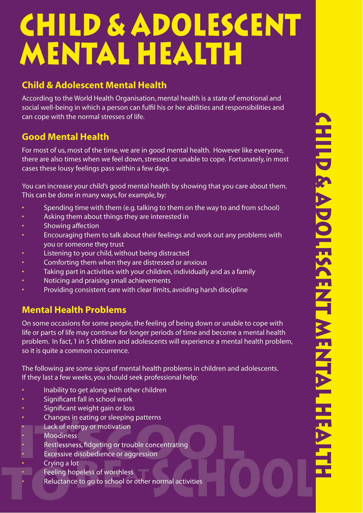# **CHILD & ADOLESCENT**<br>
Child & Adolescent Mental Health<br>
Child & Adolescent Mental Health<br>
Accidents and the control of the first of the state of motional and<br>
Accident Mental Health<br>
Accident Mental Mental Pressings in the **MENTAL HEALTH**

## **Child & Adolescent Mental Health**

According to the World Health Organisation, mental health is a state of emotional and social well-being in which a person can fulfil his or her abilities and responsibilities and can cope with the normal stresses of life.

### **Good Mental Health**

For most of us, most of the time, we are in good mental health. However like everyone, there are also times when we feel down, stressed or unable to cope. Fortunately, in most cases these lousy feelings pass within a few days.

You can increase your child's good mental health by showing that you care about them. This can be done in many ways, for example, by:

- Spending time with them (e.g. talking to them on the way to and from school)
- Asking them about things they are interested in
- Showing affection
- Encouraging them to talk about their feelings and work out any problems with you or someone they trust
- Listening to your child, without being distracted
- Comforting them when they are distressed or anxious
- Taking part in activities with your children, individually and as a family
- Noticing and praising small achievements
- Providing consistent care with clear limits, avoiding harsh discipline

# **Mental Health Problems**

On some occasions for some people, the feeling of being down or unable to cope with life or parts of life may continue for longer periods of time and become a mental health problem. In fact, 1 in 5 children and adolescents will experience a mental health problem, so it is quite a common occurrence.

The following are some signs of mental health problems in children and adolescents. If they last a few weeks, you should seek professional help:

- Inability to get along with other children
- Significant fall in school work
- Significant weight gain or loss
- Changes in eating or sleeping patterns
- Lack of energy or motivation
- Moodiness
- Restlessness, fidgeting or trouble concentrating
- Excessive disobedience or aggression • Lack of energy or motivation<br>• Moodiness<br>• Restlessness, fidgeting or tro<br>• Excessive disobedience or ag<br>• Crying a lot<br>• Feeling hopeless of worthles
- Crying a lot
- Crying a lot<br>• Feeling hopeless of worthless
- Reluctance to go to school or other normal activities